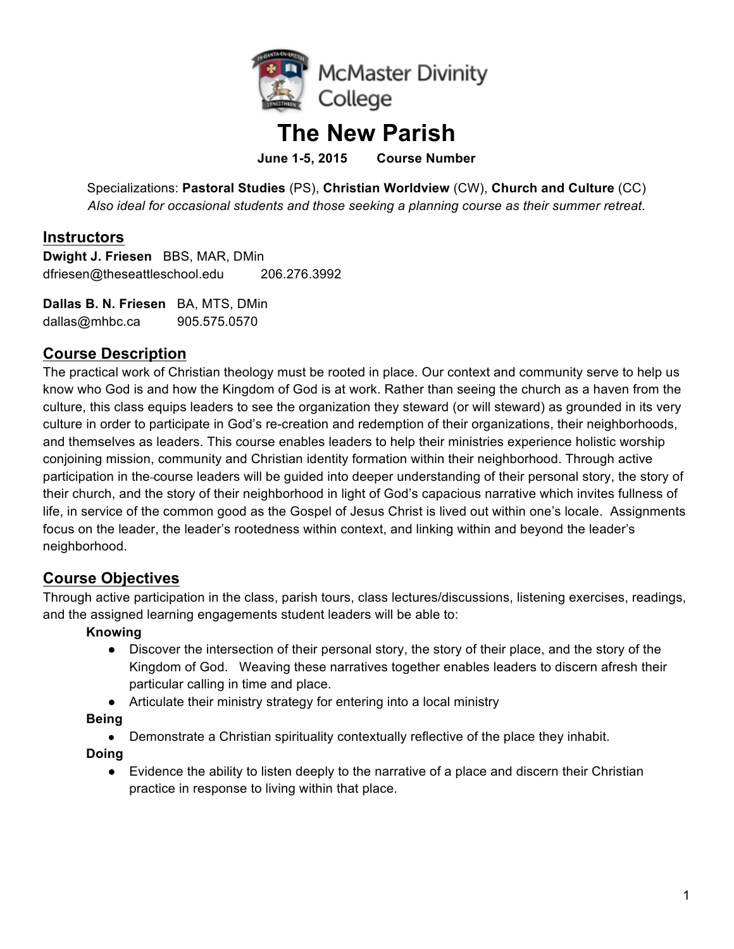

# **The New Parish**

**June 1-5, 2015 Course Number**

Specializations: **Pastoral Studies** (PS), **Christian Worldview** (CW), **Church and Culture** (CC) *Also ideal for occasional students and those seeking a planning course as their summer retreat.*

### **Instructors**

**Dwight J. Friesen** BBS, MAR, DMin dfriesen@theseattleschool.edu 206.276.3992

**Dallas B. N. Friesen** BA, MTS, DMin dallas@mhbc.ca 905.575.0570

### **Course Description**

The practical work of Christian theology must be rooted in place. Our context and community serve to help us know who God is and how the Kingdom of God is at work. Rather than seeing the church as a haven from the culture, this class equips leaders to see the organization they steward (or will steward) as grounded in its very culture in order to participate in God's re-creation and redemption of their organizations, their neighborhoods, and themselves as leaders. This course enables leaders to help their ministries experience holistic worship conjoining mission, community and Christian identity formation within their neighborhood. Through active participation in the course leaders will be guided into deeper understanding of their personal story, the story of their church, and the story of their neighborhood in light of God's capacious narrative which invites fullness of life, in service of the common good as the Gospel of Jesus Christ is lived out within one's locale. Assignments focus on the leader, the leader's rootedness within context, and linking within and beyond the leader's neighborhood.

### **Course Objectives**

Through active participation in the class, parish tours, class lectures/discussions, listening exercises, readings, and the assigned learning engagements student leaders will be able to:

#### **Knowing**

- Discover the intersection of their personal story, the story of their place, and the story of the Kingdom of God. Weaving these narratives together enables leaders to discern afresh their particular calling in time and place.
- Articulate their ministry strategy for entering into a local ministry

**Being**

• Demonstrate a Christian spirituality contextually reflective of the place they inhabit.

**Doing**

• Evidence the ability to listen deeply to the narrative of a place and discern their Christian practice in response to living within that place.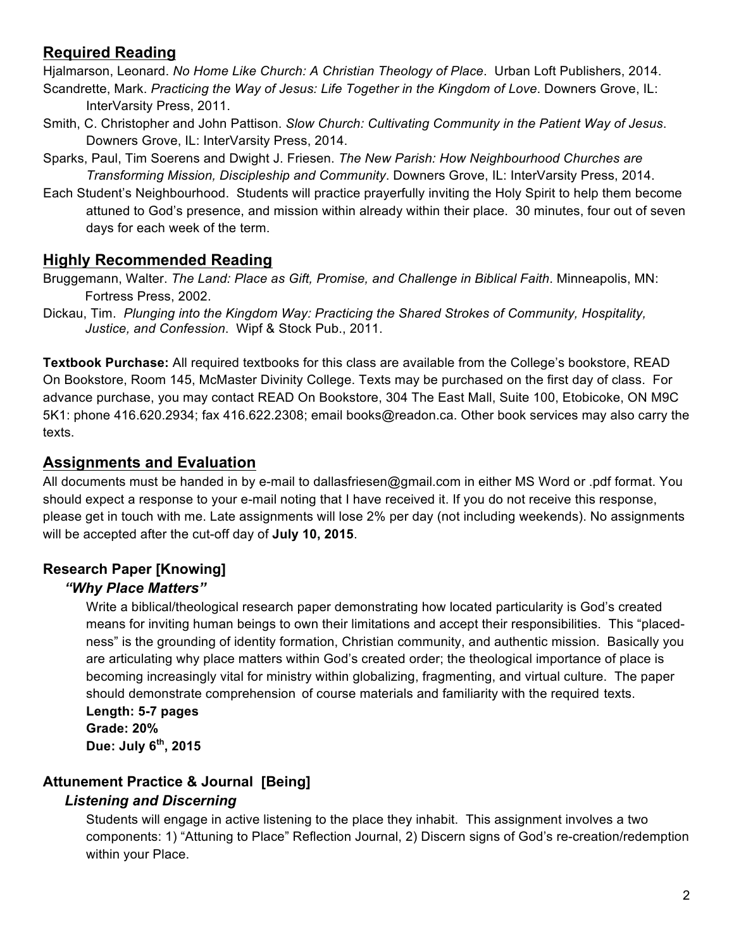### **Required Reading**

Hjalmarson, Leonard. *No Home Like Church: A Christian Theology of Place*. Urban Loft Publishers, 2014.

- Scandrette, Mark. *Practicing the Way of Jesus: Life Together in the Kingdom of Love*. Downers Grove, IL: InterVarsity Press, 2011.
- Smith, C. Christopher and John Pattison. *Slow Church: Cultivating Community in the Patient Way of Jesus*. Downers Grove, IL: InterVarsity Press, 2014.
- Sparks, Paul, Tim Soerens and Dwight J. Friesen. *The New Parish: How Neighbourhood Churches are Transforming Mission, Discipleship and Community*. Downers Grove, IL: InterVarsity Press, 2014.
- Each Student's Neighbourhood. Students will practice prayerfully inviting the Holy Spirit to help them become attuned to God's presence, and mission within already within their place. 30 minutes, four out of seven days for each week of the term.

### **Highly Recommended Reading**

Bruggemann, Walter. *The Land: Place as Gift, Promise, and Challenge in Biblical Faith*. Minneapolis, MN: Fortress Press, 2002.

Dickau, Tim. *Plunging into the Kingdom Way: Practicing the Shared Strokes of Community, Hospitality, Justice, and Confession*. Wipf & Stock Pub., 2011.

**Textbook Purchase:** All required textbooks for this class are available from the College's bookstore, READ On Bookstore, Room 145, McMaster Divinity College. Texts may be purchased on the first day of class. For advance purchase, you may contact READ On Bookstore, 304 The East Mall, Suite 100, Etobicoke, ON M9C 5K1: phone 416.620.2934; fax 416.622.2308; email books@readon.ca. Other book services may also carry the texts.

### **Assignments and Evaluation**

All documents must be handed in by e-mail to dallasfriesen@gmail.com in either MS Word or .pdf format. You should expect a response to your e-mail noting that I have received it. If you do not receive this response, please get in touch with me. Late assignments will lose 2% per day (not including weekends). No assignments will be accepted after the cut-off day of **July 10, 2015**.

### **Research Paper [Knowing]**

### *"Why Place Matters"*

Write a biblical/theological research paper demonstrating how located particularity is God's created means for inviting human beings to own their limitations and accept their responsibilities. This "placedness" is the grounding of identity formation, Christian community, and authentic mission. Basically you are articulating why place matters within God's created order; the theological importance of place is becoming increasingly vital for ministry within globalizing, fragmenting, and virtual culture. The paper should demonstrate comprehension of course materials and familiarity with the required texts.

**Length: 5-7 pages Grade: 20% Due: July 6th, 2015**

# **Attunement Practice & Journal [Being]**

### *Listening and Discerning*

Students will engage in active listening to the place they inhabit. This assignment involves a two components: 1) "Attuning to Place" Reflection Journal, 2) Discern signs of God's re-creation/redemption within your Place.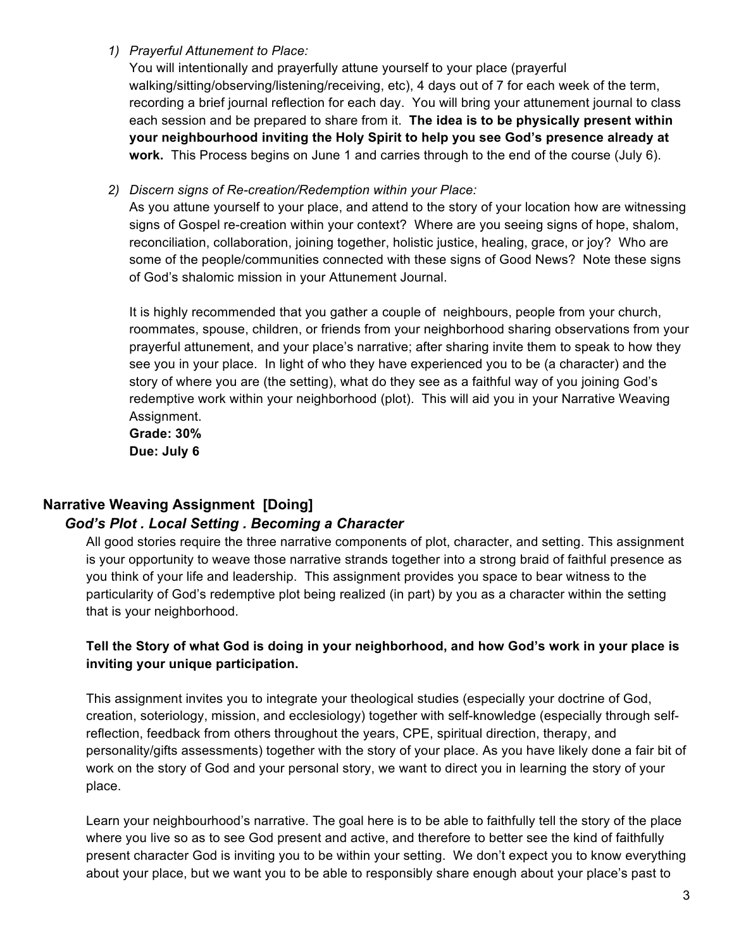#### *1) Prayerful Attunement to Place:*

You will intentionally and prayerfully attune yourself to your place (prayerful walking/sitting/observing/listening/receiving, etc), 4 days out of 7 for each week of the term, recording a brief journal reflection for each day. You will bring your attunement journal to class each session and be prepared to share from it. **The idea is to be physically present within your neighbourhood inviting the Holy Spirit to help you see God's presence already at work.** This Process begins on June 1 and carries through to the end of the course (July 6).

#### *2) Discern signs of Re-creation/Redemption within your Place:*

As you attune yourself to your place, and attend to the story of your location how are witnessing signs of Gospel re-creation within your context? Where are you seeing signs of hope, shalom, reconciliation, collaboration, joining together, holistic justice, healing, grace, or joy? Who are some of the people/communities connected with these signs of Good News? Note these signs of God's shalomic mission in your Attunement Journal.

It is highly recommended that you gather a couple of neighbours, people from your church, roommates, spouse, children, or friends from your neighborhood sharing observations from your prayerful attunement, and your place's narrative; after sharing invite them to speak to how they see you in your place. In light of who they have experienced you to be (a character) and the story of where you are (the setting), what do they see as a faithful way of you joining God's redemptive work within your neighborhood (plot). This will aid you in your Narrative Weaving Assignment.

**Grade: 30% Due: July 6**

# **Narrative Weaving Assignment [Doing]**

### *God's Plot . Local Setting . Becoming a Character*

All good stories require the three narrative components of plot, character, and setting. This assignment is your opportunity to weave those narrative strands together into a strong braid of faithful presence as you think of your life and leadership. This assignment provides you space to bear witness to the particularity of God's redemptive plot being realized (in part) by you as a character within the setting that is your neighborhood.

#### **Tell the Story of what God is doing in your neighborhood, and how God's work in your place is inviting your unique participation.**

This assignment invites you to integrate your theological studies (especially your doctrine of God, creation, soteriology, mission, and ecclesiology) together with self-knowledge (especially through selfreflection, feedback from others throughout the years, CPE, spiritual direction, therapy, and personality/gifts assessments) together with the story of your place. As you have likely done a fair bit of work on the story of God and your personal story, we want to direct you in learning the story of your place.

Learn your neighbourhood's narrative. The goal here is to be able to faithfully tell the story of the place where you live so as to see God present and active, and therefore to better see the kind of faithfully present character God is inviting you to be within your setting. We don't expect you to know everything about your place, but we want you to be able to responsibly share enough about your place's past to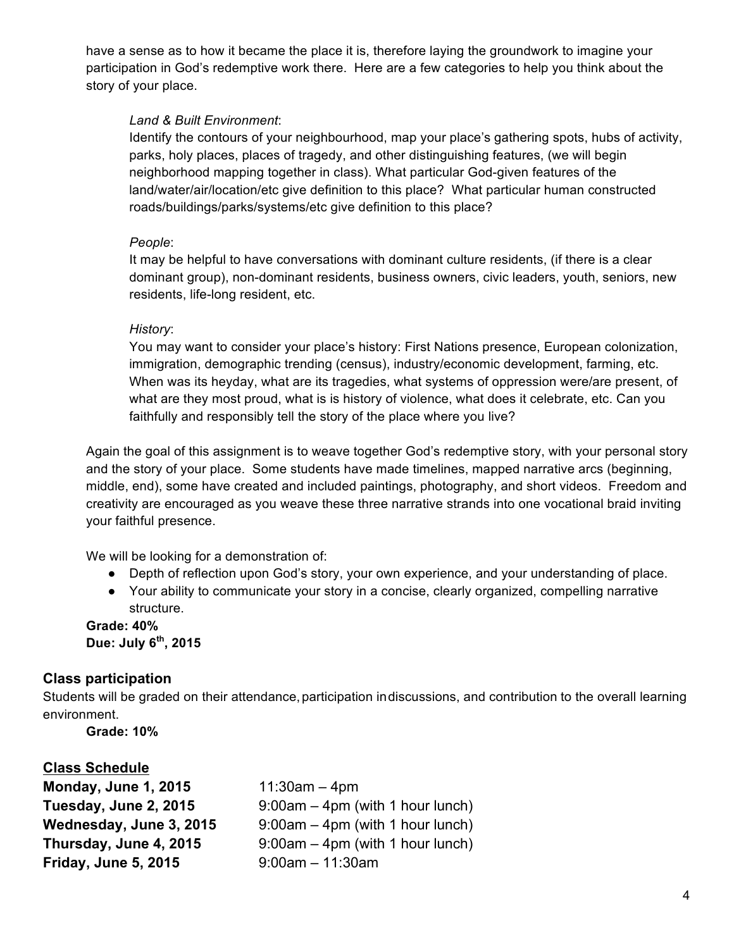have a sense as to how it became the place it is, therefore laying the groundwork to imagine your participation in God's redemptive work there. Here are a few categories to help you think about the story of your place.

#### *Land & Built Environment*:

Identify the contours of your neighbourhood, map your place's gathering spots, hubs of activity, parks, holy places, places of tragedy, and other distinguishing features, (we will begin neighborhood mapping together in class). What particular God-given features of the land/water/air/location/etc give definition to this place? What particular human constructed roads/buildings/parks/systems/etc give definition to this place?

#### *People*:

It may be helpful to have conversations with dominant culture residents, (if there is a clear dominant group), non-dominant residents, business owners, civic leaders, youth, seniors, new residents, life-long resident, etc.

#### *History*:

You may want to consider your place's history: First Nations presence, European colonization, immigration, demographic trending (census), industry/economic development, farming, etc. When was its heyday, what are its tragedies, what systems of oppression were/are present, of what are they most proud, what is is history of violence, what does it celebrate, etc. Can you faithfully and responsibly tell the story of the place where you live?

Again the goal of this assignment is to weave together God's redemptive story, with your personal story and the story of your place. Some students have made timelines, mapped narrative arcs (beginning, middle, end), some have created and included paintings, photography, and short videos. Freedom and creativity are encouraged as you weave these three narrative strands into one vocational braid inviting your faithful presence.

We will be looking for a demonstration of:

- Depth of reflection upon God's story, your own experience, and your understanding of place.
- Your ability to communicate your story in a concise, clearly organized, compelling narrative structure.

**Grade: 40% Due: July 6th, 2015**

### **Class participation**

Students will be graded on their attendance, participation indiscussions, and contribution to the overall learning environment.

**Grade: 10%** 

### **Class Schedule**

| Monday, June 1, 2015        | $11:30am - 4pm$                    |
|-----------------------------|------------------------------------|
| Tuesday, June 2, 2015       | 9:00am - 4pm (with 1 hour lunch)   |
| Wednesday, June 3, 2015     | $9.00am - 4pm$ (with 1 hour lunch) |
| Thursday, June 4, 2015      | $9.00am - 4pm$ (with 1 hour lunch) |
| <b>Friday, June 5, 2015</b> | $9:00am - 11:30am$                 |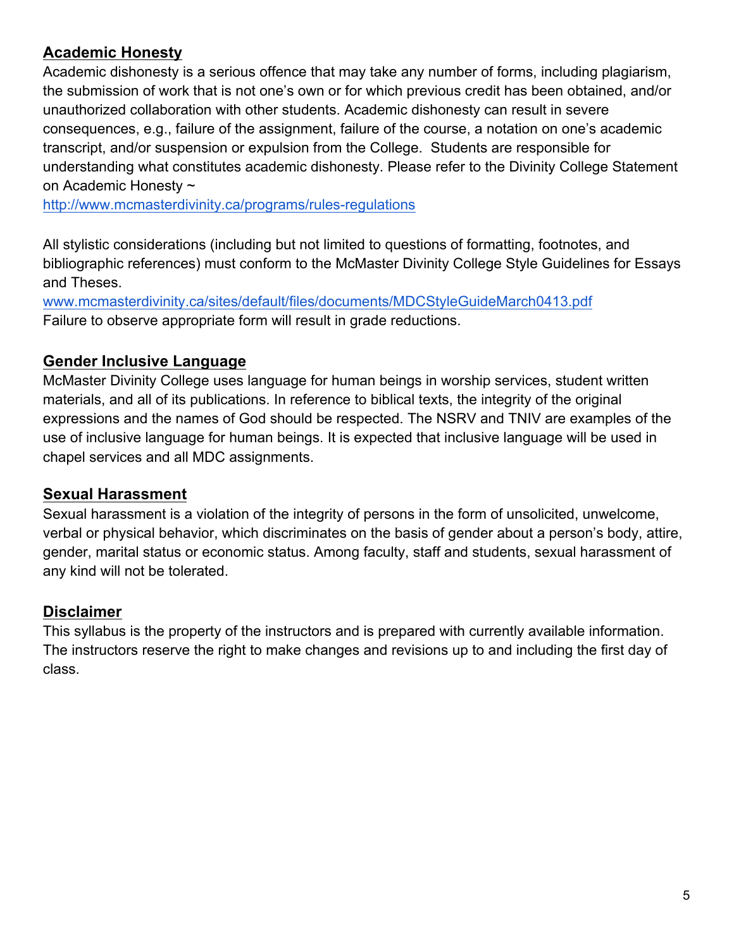# **Academic Honesty**

Academic dishonesty is a serious offence that may take any number of forms, including plagiarism, the submission of work that is not one's own or for which previous credit has been obtained, and/or unauthorized collaboration with other students. Academic dishonesty can result in severe consequences, e.g., failure of the assignment, failure of the course, a notation on one's academic transcript, and/or suspension or expulsion from the College. Students are responsible for understanding what constitutes academic dishonesty. Please refer to the Divinity College Statement on Academic Honesty ~

http://www.mcmasterdivinity.ca/programs/rules-regulations

All stylistic considerations (including but not limited to questions of formatting, footnotes, and bibliographic references) must conform to the McMaster Divinity College Style Guidelines for Essays and Theses.

www.mcmasterdivinity.ca/sites/default/files/documents/MDCStyleGuideMarch0413.pdf Failure to observe appropriate form will result in grade reductions.

# **Gender Inclusive Language**

McMaster Divinity College uses language for human beings in worship services, student written materials, and all of its publications. In reference to biblical texts, the integrity of the original expressions and the names of God should be respected. The NSRV and TNIV are examples of the use of inclusive language for human beings. It is expected that inclusive language will be used in chapel services and all MDC assignments.

### **Sexual Harassment**

Sexual harassment is a violation of the integrity of persons in the form of unsolicited, unwelcome, verbal or physical behavior, which discriminates on the basis of gender about a person's body, attire, gender, marital status or economic status. Among faculty, staff and students, sexual harassment of any kind will not be tolerated.

# **Disclaimer**

This syllabus is the property of the instructors and is prepared with currently available information. The instructors reserve the right to make changes and revisions up to and including the first day of class.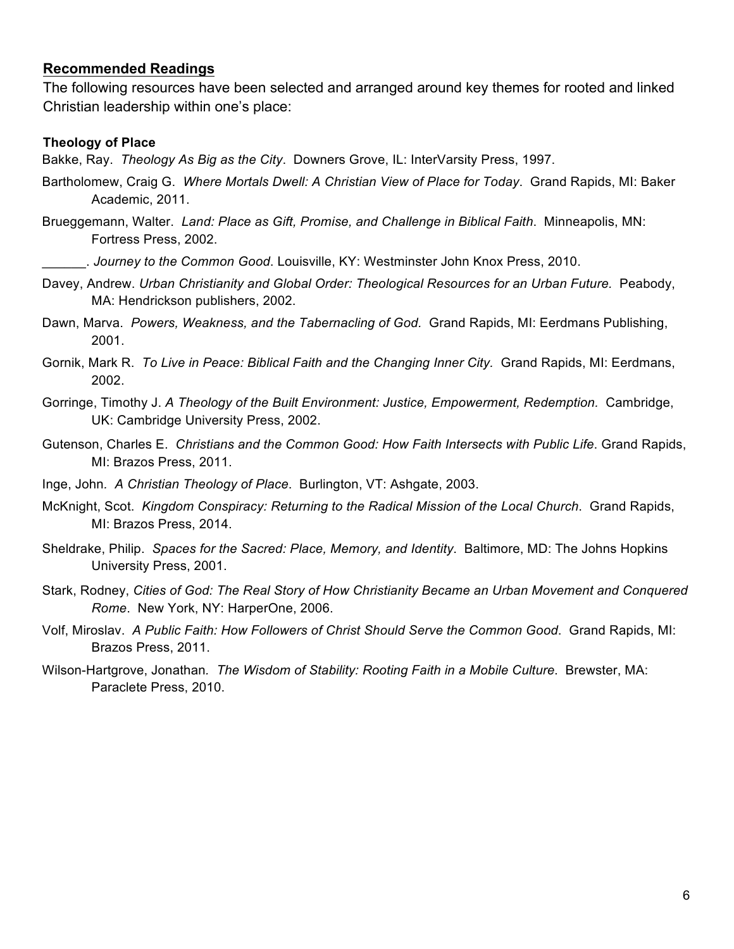#### **Recommended Readings**

The following resources have been selected and arranged around key themes for rooted and linked Christian leadership within one's place:

#### **Theology of Place**

Bakke, Ray. *Theology As Big as the City*. Downers Grove, IL: InterVarsity Press, 1997.

- Bartholomew, Craig G. *Where Mortals Dwell: A Christian View of Place for Today*. Grand Rapids, MI: Baker Academic, 2011.
- Brueggemann, Walter. *Land: Place as Gift, Promise, and Challenge in Biblical Faith*. Minneapolis, MN: Fortress Press, 2002.
	- \_\_\_\_\_\_. *Journey to the Common Good*. Louisville, KY: Westminster John Knox Press, 2010.
- Davey, Andrew. *Urban Christianity and Global Order: Theological Resources for an Urban Future.* Peabody, MA: Hendrickson publishers, 2002.
- Dawn, Marva. *Powers, Weakness, and the Tabernacling of God.* Grand Rapids, MI: Eerdmans Publishing, 2001.
- Gornik, Mark R. *To Live in Peace: Biblical Faith and the Changing Inner City.* Grand Rapids, MI: Eerdmans, 2002.
- Gorringe, Timothy J. *A Theology of the Built Environment: Justice, Empowerment, Redemption.* Cambridge, UK: Cambridge University Press, 2002.
- Gutenson, Charles E. *Christians and the Common Good: How Faith Intersects with Public Life*. Grand Rapids, MI: Brazos Press, 2011.
- Inge, John*. A Christian Theology of Place*. Burlington, VT: Ashgate, 2003.
- McKnight, Scot. *Kingdom Conspiracy: Returning to the Radical Mission of the Local Church*. Grand Rapids, MI: Brazos Press, 2014.
- Sheldrake, Philip. *Spaces for the Sacred: Place, Memory, and Identity*. Baltimore, MD: The Johns Hopkins University Press, 2001.
- Stark, Rodney, *Cities of God: The Real Story of How Christianity Became an Urban Movement and Conquered Rome*. New York, NY: HarperOne, 2006.
- Volf, Miroslav. *A Public Faith: How Followers of Christ Should Serve the Common Good*. Grand Rapids, MI: Brazos Press, 2011.
- Wilson-Hartgrove, Jonathan*. The Wisdom of Stability: Rooting Faith in a Mobile Culture*. Brewster, MA: Paraclete Press, 2010.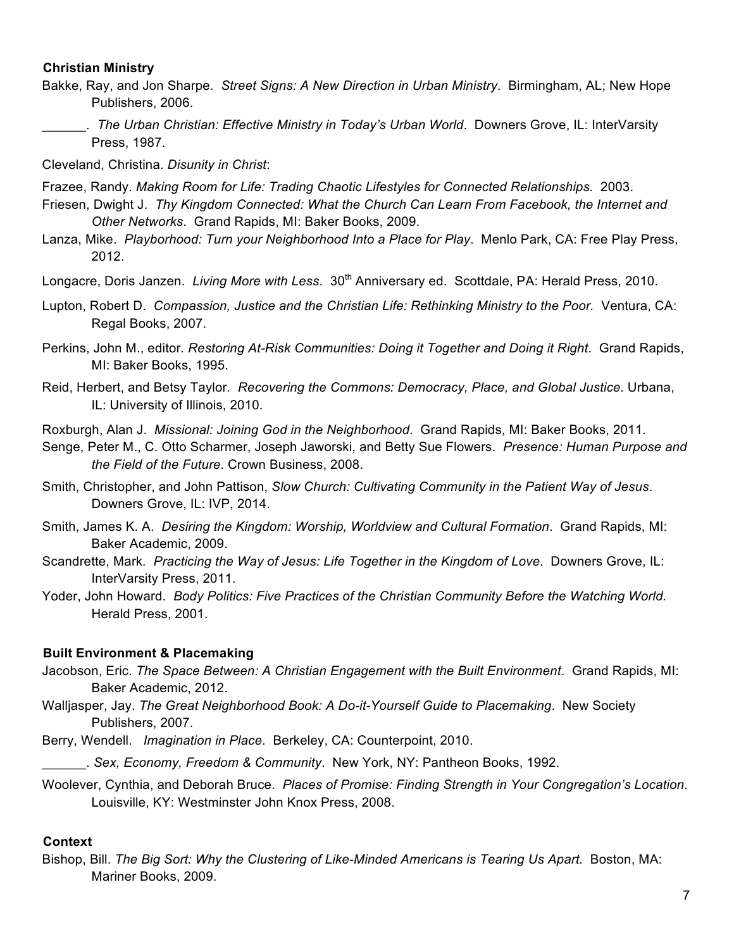#### **Christian Ministry**

- Bakke, Ray, and Jon Sharpe. *Street Signs: A New Direction in Urban Ministry*. Birmingham, AL; New Hope Publishers, 2006.
- \_\_\_\_\_\_. *The Urban Christian: Effective Ministry in Today's Urban World*. Downers Grove, IL: InterVarsity Press, 1987.

Cleveland, Christina. *Disunity in Christ*:

Frazee, Randy. *Making Room for Life: Trading Chaotic Lifestyles for Connected Relationships.* 2003.

- Friesen, Dwight J. *Thy Kingdom Connected: What the Church Can Learn From Facebook, the Internet and Other Networks*. Grand Rapids, MI: Baker Books, 2009.
- Lanza, Mike. *Playborhood: Turn your Neighborhood Into a Place for Play*. Menlo Park, CA: Free Play Press, 2012.
- Longacre, Doris Janzen. *Living More with Less.* 30<sup>th</sup> Anniversary ed. Scottdale, PA: Herald Press, 2010.
- Lupton, Robert D. *Compassion, Justice and the Christian Life: Rethinking Ministry to the Poor.* Ventura, CA: Regal Books, 2007.

Perkins, John M., editor*. Restoring At-Risk Communities: Doing it Together and Doing it Right*. Grand Rapids, MI: Baker Books, 1995.

- Reid, Herbert, and Betsy Taylor*. Recovering the Commons: Democracy, Place, and Global Justice.* Urbana, IL: University of Illinois, 2010.
- Roxburgh, Alan J. *Missional: Joining God in the Neighborhood*. Grand Rapids, MI: Baker Books, 2011.
- Senge, Peter M., C. Otto Scharmer, Joseph Jaworski, and Betty Sue Flowers. *Presence: Human Purpose and the Field of the Future*. Crown Business, 2008.
- Smith, Christopher, and John Pattison, *Slow Church: Cultivating Community in the Patient Way of Jesus*. Downers Grove, IL: IVP, 2014.
- Smith, James K. A. *Desiring the Kingdom: Worship, Worldview and Cultural Formation*. Grand Rapids, MI: Baker Academic, 2009.
- Scandrette, Mark*. Practicing the Way of Jesus: Life Together in the Kingdom of Love*. Downers Grove, IL: InterVarsity Press, 2011.
- Yoder, John Howard. *Body Politics: Five Practices of the Christian Community Before the Watching World.*  Herald Press, 2001.

#### **Built Environment & Placemaking**

- Jacobson, Eric. *The Space Between: A Christian Engagement with the Built Environment*. Grand Rapids, MI: Baker Academic, 2012.
- Walljasper, Jay. *The Great Neighborhood Book: A Do-it-Yourself Guide to Placemaking*. New Society Publishers, 2007.
- Berry, Wendell. *Imagination in Place*. Berkeley, CA: Counterpoint, 2010.
- \_\_\_\_\_\_. *Sex, Economy, Freedom & Community*. New York, NY: Pantheon Books, 1992.
- Woolever, Cynthia, and Deborah Bruce. *Places of Promise: Finding Strength in Your Congregation's Location*. Louisville, KY: Westminster John Knox Press, 2008.

#### **Context**

Bishop, Bill. *The Big Sort: Why the Clustering of Like-Minded Americans is Tearing Us Apart.* Boston, MA: Mariner Books, 2009.